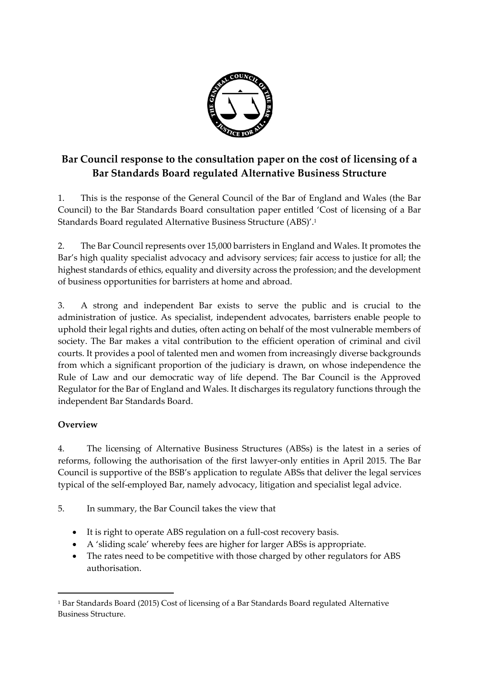

## **Bar Council response to the consultation paper on the cost of licensing of a Bar Standards Board regulated Alternative Business Structure**

1. This is the response of the General Council of the Bar of England and Wales (the Bar Council) to the Bar Standards Board consultation paper entitled 'Cost of licensing of a Bar Standards Board regulated Alternative Business Structure (ABS)'.<sup>1</sup>

2. The Bar Council represents over 15,000 barristers in England and Wales. It promotes the Bar's high quality specialist advocacy and advisory services; fair access to justice for all; the highest standards of ethics, equality and diversity across the profession; and the development of business opportunities for barristers at home and abroad.

3. A strong and independent Bar exists to serve the public and is crucial to the administration of justice. As specialist, independent advocates, barristers enable people to uphold their legal rights and duties, often acting on behalf of the most vulnerable members of society. The Bar makes a vital contribution to the efficient operation of criminal and civil courts. It provides a pool of talented men and women from increasingly diverse backgrounds from which a significant proportion of the judiciary is drawn, on whose independence the Rule of Law and our democratic way of life depend. The Bar Council is the Approved Regulator for the Bar of England and Wales. It discharges its regulatory functions through the independent Bar Standards Board.

## **Overview**

1

4. The licensing of Alternative Business Structures (ABSs) is the latest in a series of reforms, following the authorisation of the first lawyer-only entities in April 2015. The Bar Council is supportive of the BSB's application to regulate ABSs that deliver the legal services typical of the self-employed Bar, namely advocacy, litigation and specialist legal advice.

- 5. In summary, the Bar Council takes the view that
	- It is right to operate ABS regulation on a full-cost recovery basis.
	- A 'sliding scale' whereby fees are higher for larger ABSs is appropriate.
	- The rates need to be competitive with those charged by other regulators for ABS authorisation.

<sup>1</sup> Bar Standards Board (2015) Cost of licensing of a Bar Standards Board regulated Alternative Business Structure.